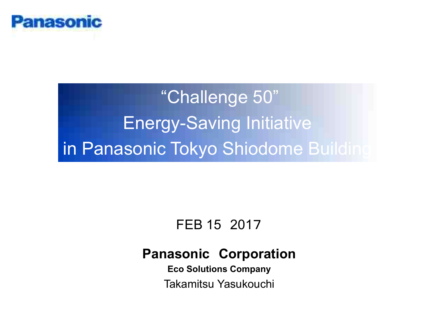

"Challenge 50" Energy-Saving Initiative in Panasonic Tokyo Shiodome Building

# FEB 15 2017

## **Panasonic Corporation**

**Eco Solutions Company** Takamitsu Yasukouchi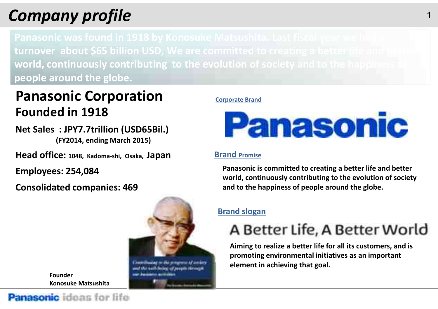# *Company**profile* 1

**turnover about \$65 billion USD, We are committed to creating a better life and better world, continuously contributing to the evolution of society and to the happiness of people around the globe.**

# **Panasonic Corporation Founded in 1918**

**Net Sales : JPY7.7trillion (USD65Bil.) (FY2014, ending March 2015)**

**Head office: 1048, Kadoma-shi, Osaka, Japan**

**Employees: 254,084**

**Consolidated companies: 469**



**Founder Konosuke Matsushita**

#### **Corporate Brand**



#### **Brand Promise**

**Panasonic is committed to creating a better life and better world, continuously contributing to the evolution of society and to the happiness of people around the globe.**

### **Brand slogan**

# A Better Life, A Better World

**Aiming to realize a better life for all its customers, and is promoting environmental initiatives as an important element in achieving that goal.**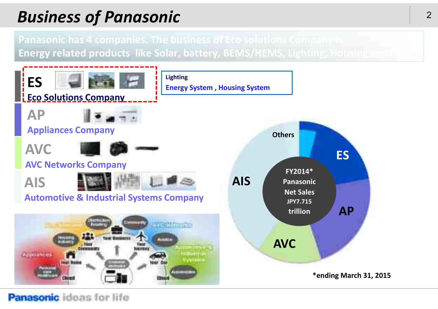# *Bu* <sup>2</sup> *siness of Panasonic*

**Panasonic has 4 companies. The business of Eco solutions Company is Energy related products like Solar, battery, BEMS/HEMS, Lighting, Housing system**

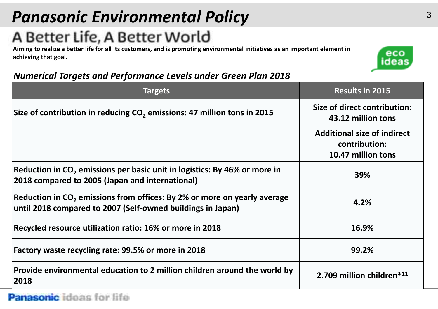# *Panasonic Environmental Policy*

# A Better Life, A Better World

Aiming to realize a better life for all its customers, and is promoting environmental initiatives as an important element in **achieving that goal.**



### *Numerical Targets and Performance Levels under Green Plan 2018*

| <b>Targets</b>                                                                                                                                      | <b>Results in 2015</b>                                                    |
|-----------------------------------------------------------------------------------------------------------------------------------------------------|---------------------------------------------------------------------------|
| Size of contribution in reducing $CO2$ emissions: 47 million tons in 2015                                                                           | Size of direct contribution:<br>43.12 million tons                        |
|                                                                                                                                                     | <b>Additional size of indirect</b><br>contribution:<br>10.47 million tons |
| Reduction in CO <sub>2</sub> emissions per basic unit in logistics: By 46% or more in<br>2018 compared to 2005 (Japan and international)            | 39%                                                                       |
| Reduction in CO <sub>2</sub> emissions from offices: By 2% or more on yearly average<br>until 2018 compared to 2007 (Self-owned buildings in Japan) | 4.2%                                                                      |
| Recycled resource utilization ratio: 16% or more in 2018                                                                                            | 16.9%                                                                     |
| Factory waste recycling rate: 99.5% or more in 2018                                                                                                 | 99.2%                                                                     |
| Provide environmental education to 2 million children around the world by<br>2018                                                                   | 2.709 million children*11                                                 |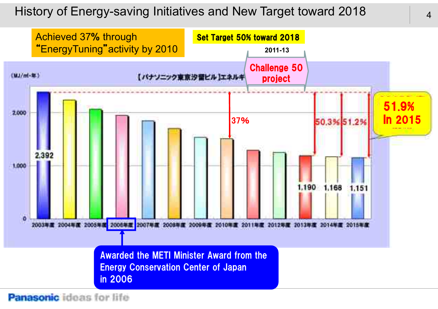### History of Energy-saving Initiatives and New Target toward 2018

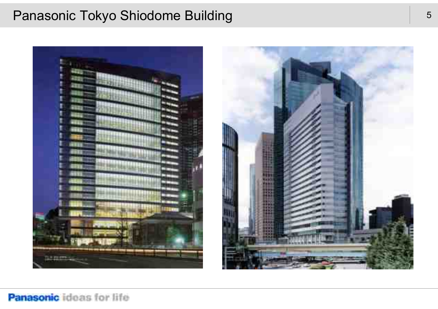### Panasonic Tokyo Shiodome Building

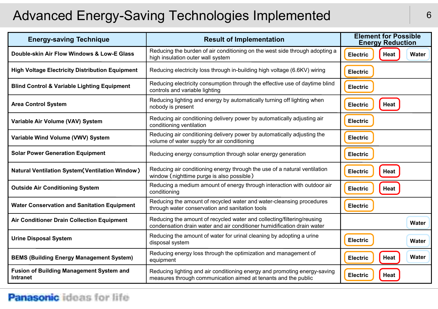# Advanced Energy-Saving Technologies Implemented **6**

| <b>Energy-saving Technique</b>                                     | <b>Result of Implementation</b>                                                                                                                   | <b>Element for Possible</b><br><b>Energy Reduction</b> |
|--------------------------------------------------------------------|---------------------------------------------------------------------------------------------------------------------------------------------------|--------------------------------------------------------|
| Double-skin Air Flow Windows & Low-E Glass                         | Reducing the burden of air conditioning on the west side through adopting a<br>high insulation outer wall system                                  | Heat<br>Water<br><b>Electric</b>                       |
| <b>High Voltage Electricity Distribution Equipment</b>             | Reducing electricity loss through in-building high voltage (6.6KV) wiring                                                                         | <b>Electric</b>                                        |
| <b>Blind Control &amp; Variable Lighting Equipment</b>             | Reducing electricity consumption through the effective use of daytime blind<br>controls and variable lighting                                     | <b>Electric</b>                                        |
| <b>Area Control System</b>                                         | Reducing lighting and energy by automatically turning off lighting when<br>nobody is present                                                      | Heat<br><b>Electric</b>                                |
| Variable Air Volume (VAV) System                                   | Reducing air conditioning delivery power by automatically adjusting air<br>conditioning ventilation                                               | <b>Electric</b>                                        |
| Variable Wind Volume (VWV) System                                  | Reducing air conditioning delivery power by automatically adjusting the<br>volume of water supply for air conditioning                            | <b>Electric</b>                                        |
| <b>Solar Power Generation Equipment</b>                            | Reducing energy consumption through solar energy generation                                                                                       | <b>Electric</b>                                        |
| <b>Natural Ventilation System (Ventilation Window)</b>             | Reducing air conditioning energy through the use of a natural ventilation<br>window (nighttime purge is also possible)                            | Heat<br><b>Electric</b>                                |
| <b>Outside Air Conditioning System</b>                             | Reducing a medium amount of energy through interaction with outdoor air<br>conditioning                                                           | <b>Heat</b><br><b>Electric</b>                         |
| <b>Water Conservation and Sanitation Equipment</b>                 | Reducing the amount of recycled water and water-cleansing procedures<br>through water conservation and sanitation tools                           | <b>Electric</b>                                        |
| <b>Air Conditioner Drain Collection Equipment</b>                  | Reducing the amount of recycled water and collecting/filtering/reusing<br>condensation drain water and air conditioner humidification drain water | <b>Water</b>                                           |
| <b>Urine Disposal System</b>                                       | Reducing the amount of water for urinal cleaning by adopting a urine<br>disposal system                                                           | <b>Electric</b><br>Water                               |
| <b>BEMS (Building Energy Management System)</b>                    | Reducing energy loss through the optimization and management of<br>equipment                                                                      | <b>Water</b><br>Heat<br><b>Electric</b>                |
| <b>Fusion of Building Management System and</b><br><b>Intranet</b> | Reducing lighting and air conditioning energy and promoting energy-saving<br>measures through communication aimed at tenants and the public       | <b>Electric</b><br>Heat                                |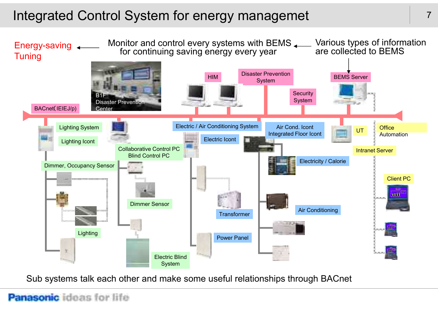# Integrated Control System for energy managemet



Sub systems talk each other and make some useful relationships through BACnet

#### 7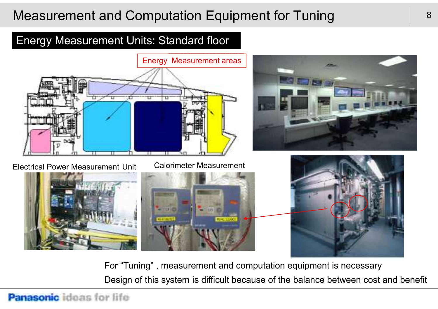# Measurement and Computation Equipment for Tuning

### Energy Measurement Units: Standard floor



Electrical Power Measurement Unit Calorimeter Measurement



For "Tuning" , measurement and computation equipment is necessary Design of this system is difficult because of the balance between cost and benefit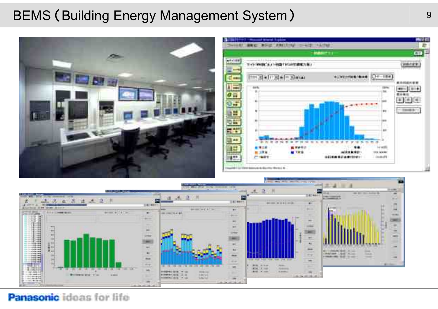# BEMS (Building Energy Management System)





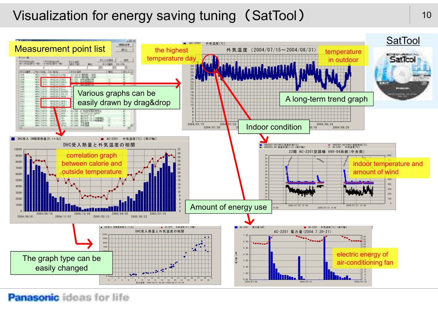# Visualization for energy saving tuning (SatTool) 10

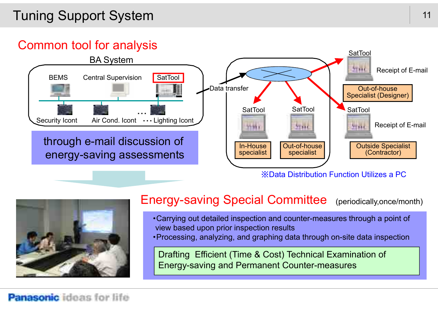# Tuning Support System

## Common tool for analysis





### Energy-saving Special Committee (periodically,once/month)

- ・Carrying out detailed inspection and counter-measures through a point of view based upon prior inspection results
- ・Processing, analyzing, and graphing data through on-site data inspection

Drafting Efficient (Time & Cost) Technical Examination of Energy-saving and Permanent Counter-measures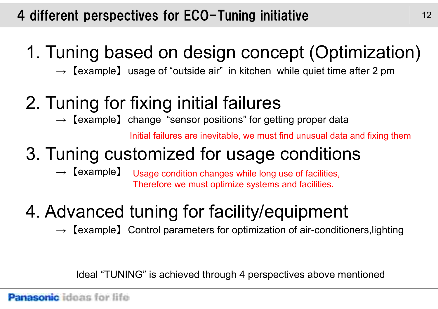# 4 different perspectives for ECO-Tuning initiative

# 1. Tuning based on design concept (Optimization)

 $\rightarrow$  [example] usage of "outside air" in kitchen while quiet time after 2 pm

# 2. Tuning for fixing initial failures

 $\rightarrow$  [example] change "sensor positions" for getting proper data

Initial failures are inevitable, we must find unusual data and fixing them

# 3. Tuning customized for usage conditions

 $\rightarrow$  【example】 Usage condition changes while long use of facilities, Therefore we must optimize systems and facilities.

# 4. Advanced tuning for facility/equipment

 $\rightarrow$  [example] Control parameters for optimization of air-conditioners, lighting

Ideal "TUNING" is achieved through 4 perspectives above mentioned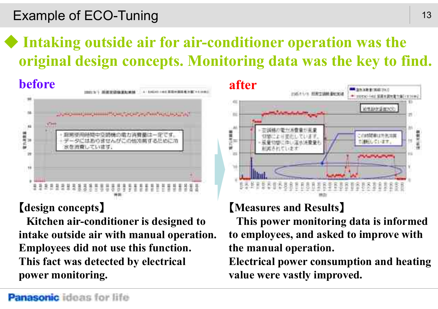# Example of ECO-Tuning

# ◆ **Intaking outside air for air-conditioner operation was the original design concepts. Monitoring data was the key to find.**



### 【**design concepts**】

**Kitchen air-conditioner is designed to intake outside air with manual operation. Employees did not use this function. This fact was detected by electrical power monitoring.**



# 【**Measures and Results**】

**This power monitoring data is informed to employees, and asked to improve with the manual operation.**

**Electrical power consumption and heating value were vastly improved.**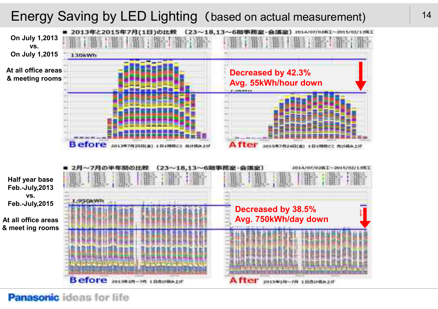# Energy Saving by LED Lighting (based on actual measurement) <sup>14</sup>

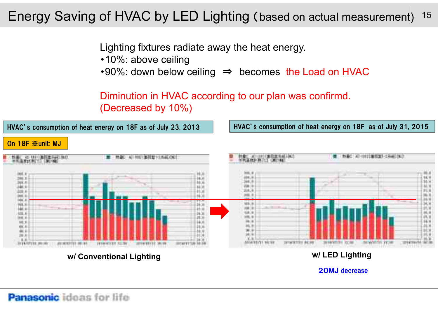#### 15 Energy Saving of HVAC by LED Lighting (based on actual measurement)

Lighting fixtures radiate away the heat energy.

- ・10%: above ceiling
- ・90%: down below ceiling ⇒ becomes the Load on HVAC

Diminution in HVAC according to our plan was confirmd. (Decreased by 10%)



**w/ Conventional Lighting w/ LED Lighting**

20MJ decrease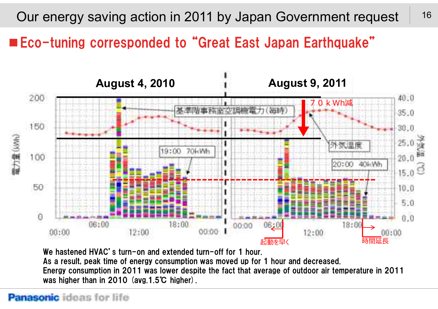16 Our energy saving action in 2011 by Japan Government request

■Eco-tuning corresponded to "Great East Japan Earthquake"



We hastened HVAC's turn-on and extended turn-off for 1 hour.

As a result, peak time of energy consumption was moved up for 1 hour and decreased. Energy consumption in 2011 was lower despite the fact that average of outdoor air temperature in 2011 was higher than in 2010 (avg.1.5℃ higher).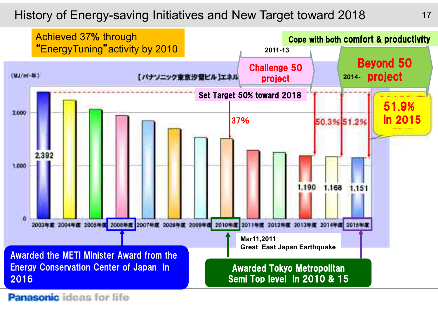### History of Energy-saving Initiatives and New Target toward 2018

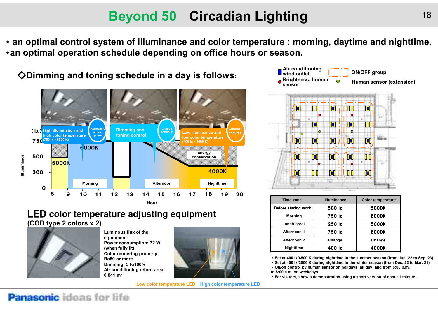# **Beyond 50 Circadian Lighting**

・ **an optimal control system of illuminance and color temperature : morning, daytime and nighttime.** ・**an optimal operation schedule depending on office hours or season.**

◇**Dimming and toning schedule in a day is follows:**



### LED **color temperature adjusting equipment**

#### **(COB type 2 colors x 2)**



**Luminous flux of the equipment: Power consumption: 72 W (when fully lit) Color rendering property: Ra80 or more Dimming: 5 to100% Air conditioning return area: 0.041 m<sup>2</sup>**



**Low color temperature LED High color temperature LED**



| Time zone           | <b>Illuminance</b> | <b>Color temperature</b> |
|---------------------|--------------------|--------------------------|
| Before staring work | 500 lx             | 5000K                    |
| <b>Morning</b>      | 750 lx             | 6000K                    |
| Lunch break         | 250 lx             | 5000K                    |
| Afternoon 1         | 750 lx             | 6000K                    |
| Afternoon 2         | Change             | Change                   |
| Nighttime           | 400 lx             | 4000K                    |

・**Set at 400 lx/4500 K during nighttime in the summer season (from Jun. 22 to Sep. 23)**

・**Set at 400 lx/3500 K during nighttime in the winter season (from Dec. 22 to Mar. 21)**

・**On/off control by human sensor on holidays (all day) and from 8:00 p.m.**

**to 8:00 a.m. on weekdays**

・**For visitors, show a demonstration using a short version of about 1 minute.**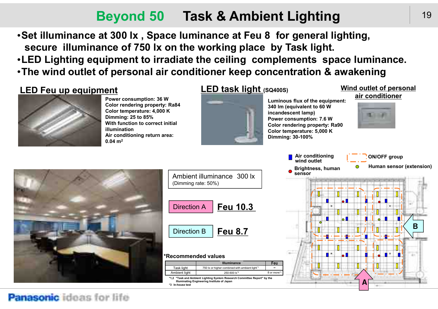# **Beyond 50 Task & Ambient Lighting**

・**Set illuminance at 300 lx , Space luminance at Feu 8 for general lighting, secure illuminance of 750 lx on the working place by Task light.** ・**LED Lighting equipment to irradiate the ceiling complements space luminance.** ・**The wind outlet of personal air conditioner keep concentration & awakening**

### **LED Feu up equipment LED task light (SQ400S)**



**Power consumption: 36 W Color rendering property: Ra84 Color temperature: 4,000 K Dimming: 25 to 85% With function to correct initial illumination Air conditioning return area: 0.04 m<sup>2</sup>**



**Luminous flux of the equipment: 340 lm (equivalent to 60 W incandescent lamp) Power consumption: 7.6 W Color rendering property: Ra90 Color temperature: 5,000 K Dimming: 30-100%**

**Air conditioning**

#### **Wind outlet of personal air conditioner**



**ON/OFF group**



| Ambient illuminance 300 lx<br>(Dimming rate: 50%) |                 |  |
|---------------------------------------------------|-----------------|--|
| Direction A                                       | <b>Feu 10.3</b> |  |
| Direction B                                       | <b>Feu 8.7</b>  |  |

#### **\*Recommended values**

|                                                                                                                                             | <b>Illuminance</b>                                         | Feu                    |
|---------------------------------------------------------------------------------------------------------------------------------------------|------------------------------------------------------------|------------------------|
| Task light                                                                                                                                  | 750 lx or higher combined with ambient light <sup>*1</sup> |                        |
| Ambient light                                                                                                                               | 250-600 lx <sup>*2</sup>                                   | 8 or more <sup>3</sup> |
| *1.2 "Task and Ambient Lighting System Research Committee Report" by the<br>Illuminating Engineering Institute of Japan<br>*3 In-house test |                                                            |                        |

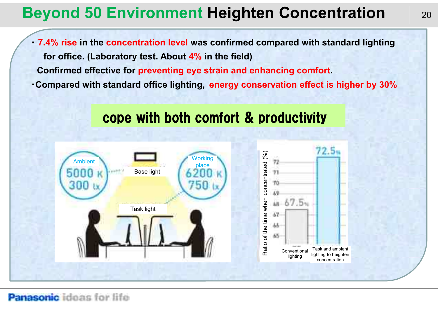# **Beyond 50 Environment Heighten Concentration**

・ **7.4% rise in the concentration level was confirmed compared with standard lighting for office. (Laboratory test. About 4% in the field) Confirmed effective for preventing eye strain and enhancing comfort.** ・**Compared with standard office lighting, energy conservation effect is higher by 30%**



# cope with both comfort & productivity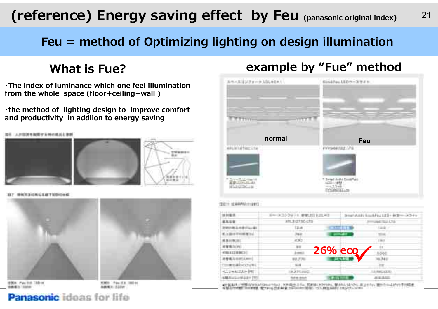# **(reference) Energy saving effect by Feu (panasonic original index)** <sup>21</sup>

## **Feu = method of Optimizing lighting on design illumination**

**・The index of luminance which one feel illumination from the whole space (floor+ceiling+wall )**

**・the method of lighting design to improve comfort and productivity in addiion to energy saving**



解放线 经所有条款 化二甲基甲基二甲基





\$304, Pac 54, 185 in

WHEN Pass Ed (1985-44) **BANKS STOW** 

### **What is Fue? example by "Fue" method**



| ----                                       | the property of the company's<br>the first control of the control of the<br>地力力区心物 | the control of the control of |
|--------------------------------------------|------------------------------------------------------------------------------------|-------------------------------|
|                                            | taw<br>.                                                                           |                               |
| <b>COMPANY</b>                             |                                                                                    |                               |
| <b>MATRIM</b><br>The product of the con-   | --                                                                                 | $-100$                        |
| 再作集当(円)                                    | m                                                                                  | Dift.                         |
| <b>A BEATTHER IT!</b>                      | <b>26% ecg</b><br><b>Company</b>                                                   | <b>STATISTICS</b>             |
| 内野或为田村从                                    | <b>WELFAM</b>                                                                      | <b>SAIL</b>                   |
| the control of the<br><b>COMMUNICATION</b> | 14.75                                                                              |                               |
| 2010/01/01 19:11                           |                                                                                    | 3.840.000                     |
| METACHMANN (H)                             | <b>SALE DOM</b>                                                                    | <b>STERNE</b>                 |

ament control to the business and the control of the control of the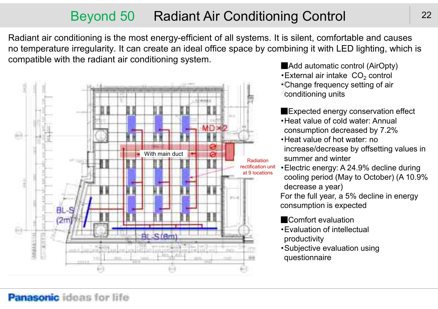# Beyond 50 Radiant Air Conditioning Control 22

Radiant air conditioning is the most energy-efficient of all systems. It is silent, comfortable and causes no temperature irregularity. It can create an ideal office space by combining it with LED lighting, which is compatible with the radiant air conditioning system.

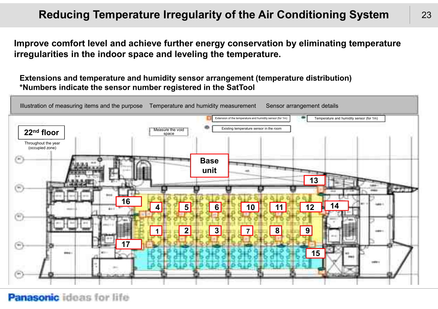### **Reducing Temperature Irregularity of the Air Conditioning System** 23

**Improve comfort level and achieve further energy conservation by eliminating temperature irregularities in the indoor space and leveling the temperature.**

**Extensions and temperature and humidity sensor arrangement (temperature distribution) \*Numbers indicate the sensor number registered in the SatTool**